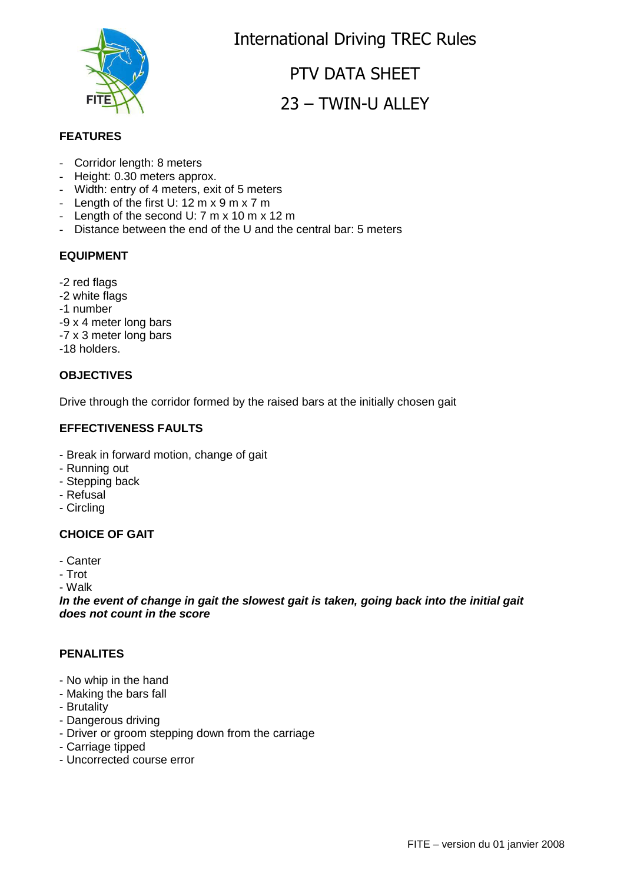International Driving TREC Rules

# PTV DATA SHEET 23 – TWIN-U ALLEY

## **FEATURES**

- Corridor length: 8 meters
- Height: 0.30 meters approx.
- Width: entry of 4 meters, exit of 5 meters
- Length of the first  $U: 12 \text{ m} \times 9 \text{ m} \times 7 \text{ m}$
- Length of the second U: 7 m x 10 m x 12 m
- Distance between the end of the U and the central bar: 5 meters

# **EQUIPMENT**

- -2 red flags
- -2 white flags
- -1 number
- -9 x 4 meter long bars
- -7 x 3 meter long bars
- -18 holders.

## **OBJECTIVES**

Drive through the corridor formed by the raised bars at the initially chosen gait

#### **EFFECTIVENESS FAULTS**

- Break in forward motion, change of gait
- Running out
- Stepping back
- Refusal
- Circling

## **CHOICE OF GAIT**

- Canter
- Trot

- Walk

**In the event of change in gait the slowest gait is taken, going back into the initial gait does not count in the score**

#### **PENALITES**

- No whip in the hand
- Making the bars fall
- Brutality
- Dangerous driving
- Driver or groom stepping down from the carriage
- Carriage tipped
- Uncorrected course error